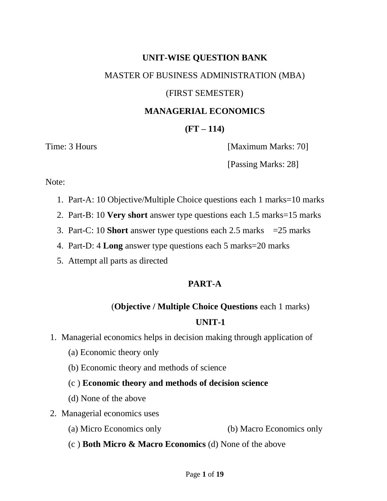# **UNIT-WISE QUESTION BANK**  MASTER OF BUSINESS ADMINISTRATION (MBA) (FIRST SEMESTER)

#### **MANAGERIAL ECONOMICS**

## **(FT – 114)**

Time: 3 Hours [Maximum Marks: 70]

[Passing Marks: 28]

Note:

- 1. Part-A: 10 Objective/Multiple Choice questions each 1 marks=10 marks
- 2. Part-B: 10 **Very short** answer type questions each 1.5 marks=15 marks
- 3. Part-C: 10 **Short** answer type questions each 2.5 marks =25 marks
- 4. Part-D: 4 **Long** answer type questions each 5 marks=20 marks
- 5. Attempt all parts as directed

## **PART-A**

## (**Objective / Multiple Choice Questions** each 1 marks)

## **UNIT-1**

- 1. Managerial economics helps in decision making through application of
	- (a) Economic theory only
	- (b) Economic theory and methods of science

## (c ) **Economic theory and methods of decision science**

- (d) None of the above
- 2. Managerial economics uses
	- (a) Micro Economics only (b) Macro Economics only
	- (c ) **Both Micro & Macro Economics** (d) None of the above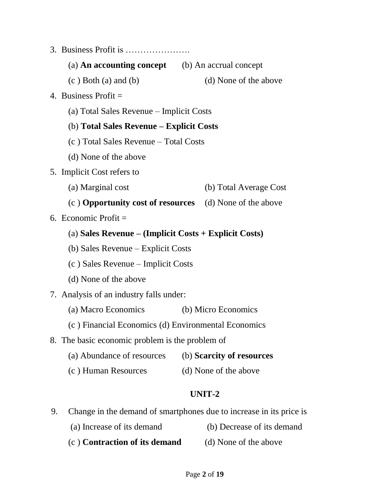- 3. Business Profit is ………………….
	- (a) **An accounting concept** (b) An accrual concept
	- $(c) Both (a) and (b)$  (d) None of the above
- 4. Business Profit  $=$ 
	- (a) Total Sales Revenue Implicit Costs

#### (b) **Total Sales Revenue – Explicit Costs**

- (c ) Total Sales Revenue Total Costs
- (d) None of the above
- 5. Implicit Cost refers to
	- (a) Marginal cost (b) Total Average Cost
	- (c ) **Opportunity cost of resources** (d) None of the above
- 6. Economic Profit  $=$ 
	- (a) **Sales Revenue – (Implicit Costs + Explicit Costs)**
	- (b) Sales Revenue Explicit Costs
	- (c ) Sales Revenue Implicit Costs
	- (d) None of the above
- 7. Analysis of an industry falls under:
	- (a) Macro Economics (b) Micro Economics
	- (c ) Financial Economics (d) Environmental Economics
- 8. The basic economic problem is the problem of
	- (a) Abundance of resources (b) **Scarcity of resources**
	- (c ) Human Resources (d) None of the above

- 9. Change in the demand of smartphones due to increase in its price is
	- (a) Increase of its demand (b) Decrease of its demand
	- (c ) **Contraction of its demand** (d) None of the above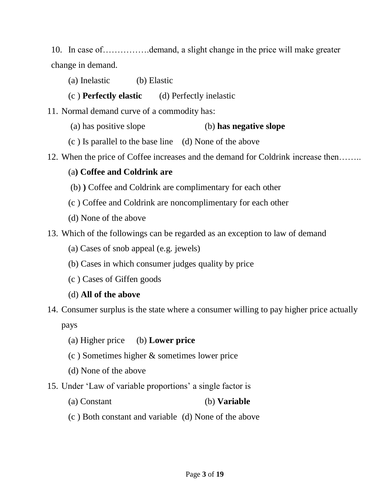10. In case of…………….demand, a slight change in the price will make greater change in demand.

- (a) Inelastic (b) Elastic
- (c ) **Perfectly elastic** (d) Perfectly inelastic

11. Normal demand curve of a commodity has:

- (a) has positive slope (b) **has negative slope**
- (c ) Is parallel to the base line (d) None of the above
- 12. When the price of Coffee increases and the demand for Coldrink increase then……..

## (a**) Coffee and Coldrink are**

- (b) **)** Coffee and Coldrink are complimentary for each other
- (c ) Coffee and Coldrink are noncomplimentary for each other
- (d) None of the above
- 13. Which of the followings can be regarded as an exception to law of demand
	- (a) Cases of snob appeal (e.g. jewels)
	- (b) Cases in which consumer judges quality by price
	- (c ) Cases of Giffen goods
	- (d) **All of the above**
- 14. Consumer surplus is the state where a consumer willing to pay higher price actually pays
	- (a) Higher price (b) **Lower price**
	- (c ) Sometimes higher & sometimes lower price
	- (d) None of the above
- 15. Under "Law of variable proportions" a single factor is
	- (a) Constant (b) **Variable**
	- (c ) Both constant and variable (d) None of the above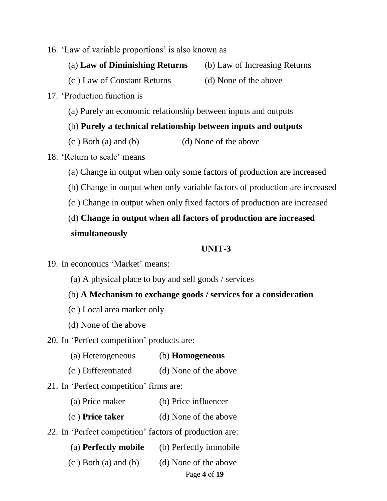- 16. 'Law of variable proportions' is also known as
	- (a) **Law of Diminishing Returns** (b) Law of Increasing Returns

(c ) Law of Constant Returns (d) None of the above

- 17. "Production function is
	- (a) Purely an economic relationship between inputs and outputs
	- (b) **Purely a technical relationship between inputs and outputs**
	- $(c)$  Both (a) and (b) (d) None of the above

#### 18. "Return to scale" means

- (a) Change in output when only some factors of production are increased
- (b) Change in output when only variable factors of production are increased
- (c ) Change in output when only fixed factors of production are increased

# (d) **Change in output when all factors of production are increased simultaneously**

- 19. In economics "Market" means:
	- (a) A physical place to buy and sell goods / services
	- (b) **A Mechanism to exchange goods / services for a consideration**
	- (c ) Local area market only
	- (d) None of the above
- 20. In "Perfect competition" products are:
	- (a) Heterogeneous (b) **Homogeneous**
	- (c ) Differentiated (d) None of the above
- 21. In 'Perfect competition' firms are:
	- (a) Price maker (b) Price influencer
	- (c ) **Price taker** (d) None of the above
- 22. In 'Perfect competition' factors of production are:
	- (a) **Perfectly mobile** (b) Perfectly immobile
	- $(c)$  Both (a) and (b) (d) None of the above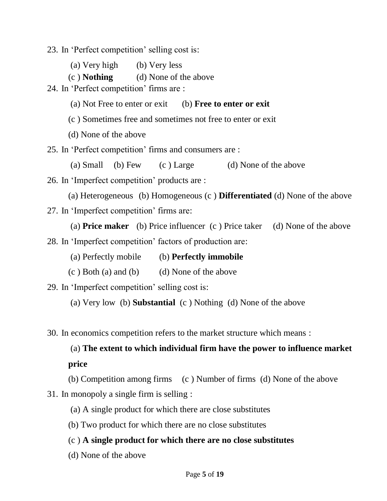23. In "Perfect competition" selling cost is:

- (a) Very high (b) Very less
- (c ) **Nothing** (d) None of the above

24. In 'Perfect competition' firms are :

- (a) Not Free to enter or exit (b) **Free to enter or exit**
- (c ) Sometimes free and sometimes not free to enter or exit
- (d) None of the above

25. In "Perfect competition" firms and consumers are :

(a) Small (b) Few (c ) Large (d) None of the above

26. In "Imperfect competition" products are :

(a) Heterogeneous (b) Homogeneous (c ) **Differentiated** (d) None of the above

27. In 'Imperfect competition' firms are:

(a) **Price maker** (b) Price influencer (c ) Price taker (d) None of the above

28. In "Imperfect competition" factors of production are:

- (a) Perfectly mobile (b) **Perfectly immobile**
- $(c)$  Both (a) and (b) (d) None of the above

29. In "Imperfect competition" selling cost is:

(a) Very low (b) **Substantial** (c ) Nothing (d) None of the above

30. In economics competition refers to the market structure which means :

(a) **The extent to which individual firm have the power to influence market price**

(b) Competition among firms (c ) Number of firms (d) None of the above 31. In monopoly a single firm is selling :

(a) A single product for which there are close substitutes

(b) Two product for which there are no close substitutes

#### (c ) **A single product for which there are no close substitutes**

(d) None of the above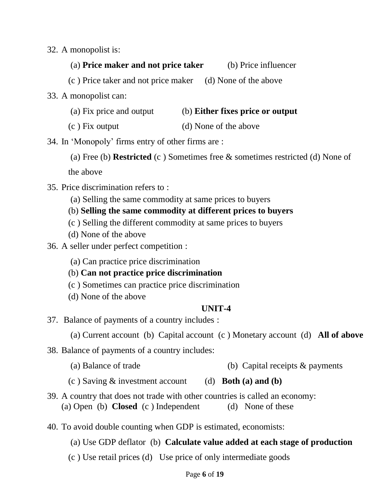32. A monopolist is:

## (a) **Price maker and not price taker** (b) Price influencer

(c ) Price taker and not price maker (d) None of the above

- 33. A monopolist can:
	- (a) Fix price and output (b) **Either fixes price or output**
	- (c ) Fix output (d) None of the above
- 34. In "Monopoly" firms entry of other firms are :
	- (a) Free (b) **Restricted** (c ) Sometimes free & sometimes restricted (d) None of the above
	-
- 35. Price discrimination refers to :
	- (a) Selling the same commodity at same prices to buyers
	- (b) **Selling the same commodity at different prices to buyers**
	- (c ) Selling the different commodity at same prices to buyers
	- (d) None of the above
- 36. A seller under perfect competition :
	- (a) Can practice price discrimination
	- (b) **Can not practice price discrimination**
	- (c ) Sometimes can practice price discrimination
	- (d) None of the above

- 37. Balance of payments of a country includes :
	- (a) Current account (b) Capital account (c ) Monetary account (d) **All of above**
- 38. Balance of payments of a country includes:
	- (a) Balance of trade (b) Capital receipts & payments
	- (c ) Saving & investment account (d) **Both (a) and (b)**
- 39. A country that does not trade with other countries is called an economy: (a) Open (b) **Closed** (c) Independent (d) None of these
- 40. To avoid double counting when GDP is estimated, economists:
	- (a) Use GDP deflator(b) **Calculate value added at each stage of production**
	- (c ) Use retail prices (d) Use price of only intermediate goods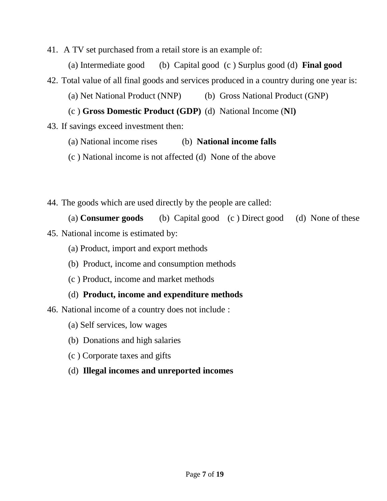41. A TV set purchased from a retail store is an example of:

(a) Intermediate good (b) Capital good (c ) Surplus good (d) **Final good**

42. Total value of all final goods and services produced in a country during one year is:

(a) Net National Product (NNP) (b) Gross National Product (GNP)

(c ) **Gross Domestic Product (GDP)** (d) National Income (**N**I**)**

43. If savings exceed investment then:

(a) National income rises (b) **National income falls**

(c ) National income is not affected (d) None of the above

44. The goods which are used directly by the people are called:

(a) **Consumer goods** (b) Capital good (c ) Direct good (d) None of these

- 45. National income is estimated by:
	- (a) Product, import and export methods
	- (b) Product, income and consumption methods
	- (c ) Product, income and market methods
	- (d) **Product, income and expenditure methods**

46. National income of a country does not include :

- (a) Self services, low wages
- (b) Donations and high salaries
- (c ) Corporate taxes and gifts
- (d) **Illegal incomes and unreported incomes**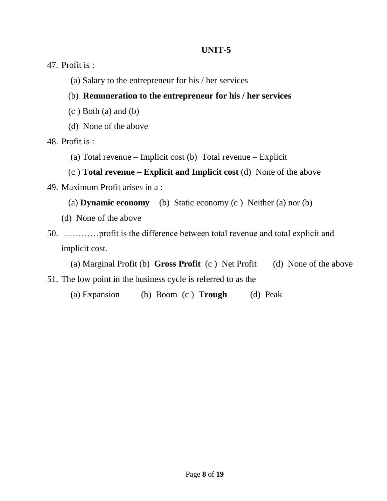47. Profit is :

- (a) Salary to the entrepreneur for his / her services
- (b) **Remuneration to the entrepreneur for his / her services**
- $(c)$  Both  $(a)$  and  $(b)$
- (d) None of the above

48. Profit is :

(a) Total revenue – Implicit cost (b) Total revenue – Explicit

# (c ) **Total revenue – Explicit and Implicit cost** (d) None of the above

- 49. Maximum Profit arises in a :
	- (a) **Dynamic economy** (b) Static economy (c ) Neither (a) nor (b)
	- (d) None of the above
- 50. …………profit is the difference between total revenue and total explicit and implicit cost.
	- (a) Marginal Profit (b) **Gross Profit** (c ) Net Profit (d) None of the above
- 51. The low point in the business cycle is referred to as the
	- (a) Expansion (b) Boom (c ) **Trough** (d) Peak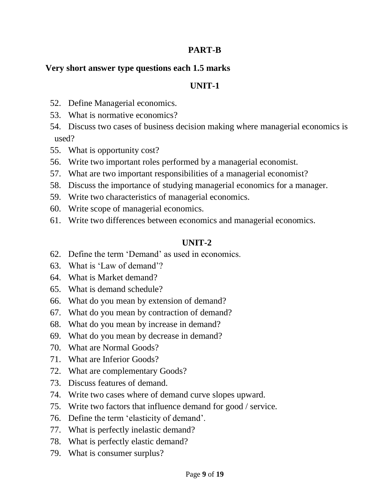#### **PART-B**

#### **Very short answer type questions each 1.5 marks**

#### **UNIT-1**

- 52. Define Managerial economics.
- 53. What is normative economics?
- 54. Discuss two cases of business decision making where managerial economics is used?
- 55. What is opportunity cost?
- 56. Write two important roles performed by a managerial economist.
- 57. What are two important responsibilities of a managerial economist?
- 58. Discuss the importance of studying managerial economics for a manager.
- 59. Write two characteristics of managerial economics.
- 60. Write scope of managerial economics.
- 61. Write two differences between economics and managerial economics.

- 62. Define the term "Demand" as used in economics.
- 63. What is "Law of demand"?
- 64. What is Market demand?
- 65. What is demand schedule?
- 66. What do you mean by extension of demand?
- 67. What do you mean by contraction of demand?
- 68. What do you mean by increase in demand?
- 69. What do you mean by decrease in demand?
- 70. What are Normal Goods?
- 71. What are Inferior Goods?
- 72. What are complementary Goods?
- 73. Discuss features of demand.
- 74. Write two cases where of demand curve slopes upward.
- 75. Write two factors that influence demand for good / service.
- 76. Define the term "elasticity of demand".
- 77. What is perfectly inelastic demand?
- 78. What is perfectly elastic demand?
- 79. What is consumer surplus?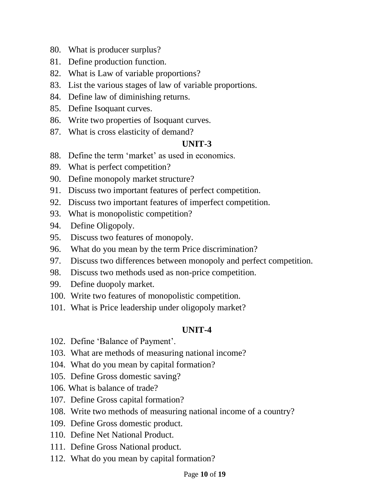- 80. What is producer surplus?
- 81. Define production function.
- 82. What is Law of variable proportions?
- 83. List the various stages of law of variable proportions.
- 84. Define law of diminishing returns.
- 85. Define Isoquant curves.
- 86. Write two properties of Isoquant curves.
- 87. What is cross elasticity of demand?

- 88. Define the term 'market' as used in economics.
- 89. What is perfect competition?
- 90. Define monopoly market structure?
- 91. Discuss two important features of perfect competition.
- 92. Discuss two important features of imperfect competition.
- 93. What is monopolistic competition?
- 94. Define Oligopoly.
- 95. Discuss two features of monopoly.
- 96. What do you mean by the term Price discrimination?
- 97. Discuss two differences between monopoly and perfect competition.
- 98. Discuss two methods used as non-price competition.
- 99. Define duopoly market.
- 100. Write two features of monopolistic competition.
- 101. What is Price leadership under oligopoly market?

- 102. Define 'Balance of Payment'.
- 103. What are methods of measuring national income?
- 104. What do you mean by capital formation?
- 105. Define Gross domestic saving?
- 106. What is balance of trade?
- 107. Define Gross capital formation?
- 108. Write two methods of measuring national income of a country?
- 109. Define Gross domestic product.
- 110. Define Net National Product.
- 111. Define Gross National product.
- 112. What do you mean by capital formation?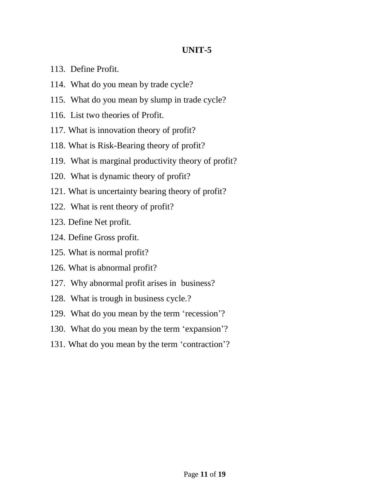- 113. Define Profit.
- 114. What do you mean by trade cycle?
- 115. What do you mean by slump in trade cycle?
- 116. List two theories of Profit.
- 117. What is innovation theory of profit?
- 118. What is Risk-Bearing theory of profit?
- 119. What is marginal productivity theory of profit?
- 120. What is dynamic theory of profit?
- 121. What is uncertainty bearing theory of profit?
- 122. What is rent theory of profit?
- 123. Define Net profit.
- 124. Define Gross profit.
- 125. What is normal profit?
- 126. What is abnormal profit?
- 127. Why abnormal profit arises in business?
- 128. What is trough in business cycle.?
- 129. What do you mean by the term "recession"?
- 130. What do you mean by the term 'expansion'?
- 131. What do you mean by the term "contraction"?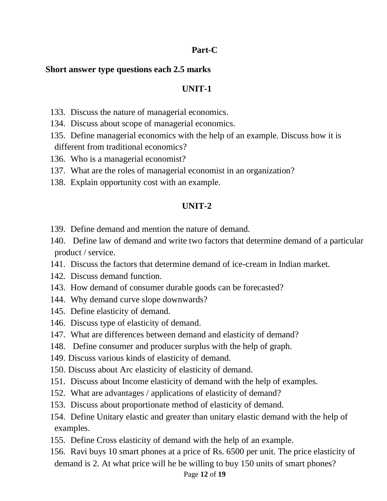#### **Part-C**

#### **Short answer type questions each 2.5 marks**

#### **UNIT-1**

- 133. Discuss the nature of managerial economics.
- 134. Discuss about scope of managerial economics.
- 135. Define managerial economics with the help of an example. Discuss how it is different from traditional economics?
- 136. Who is a managerial economist?
- 137. What are the roles of managerial economist in an organization?
- 138. Explain opportunity cost with an example.

- 139. Define demand and mention the nature of demand.
- 140. Define law of demand and write two factors that determine demand of a particular product / service.
- 141. Discuss the factors that determine demand of ice-cream in Indian market.
- 142. Discuss demand function.
- 143. How demand of consumer durable goods can be forecasted?
- 144. Why demand curve slope downwards?
- 145. Define elasticity of demand.
- 146. Discuss type of elasticity of demand.
- 147. What are differences between demand and elasticity of demand?
- 148. Define consumer and producer surplus with the help of graph.
- 149. Discuss various kinds of elasticity of demand.
- 150. Discuss about Arc elasticity of elasticity of demand.
- 151. Discuss about Income elasticity of demand with the help of examples.
- 152. What are advantages / applications of elasticity of demand?
- 153. Discuss about proportionate method of elasticity of demand.
- 154. Define Unitary elastic and greater than unitary elastic demand with the help of examples.
- 155. Define Cross elasticity of demand with the help of an example.
- 156. Ravi buys 10 smart phones at a price of Rs. 6500 per unit. The price elasticity of demand is 2. At what price will he be willing to buy 150 units of smart phones?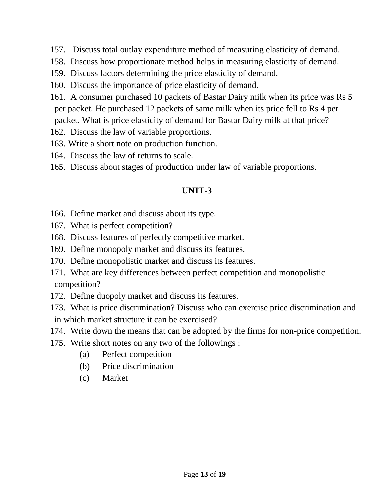- 157. Discuss total outlay expenditure method of measuring elasticity of demand.
- 158. Discuss how proportionate method helps in measuring elasticity of demand.
- 159. Discuss factors determining the price elasticity of demand.
- 160. Discuss the importance of price elasticity of demand.
- 161. A consumer purchased 10 packets of Bastar Dairy milk when its price was Rs 5 per packet. He purchased 12 packets of same milk when its price fell to Rs 4 per packet. What is price elasticity of demand for Bastar Dairy milk at that price?
- 162. Discuss the law of variable proportions.
- 163. Write a short note on production function.
- 164. Discuss the law of returns to scale.
- 165. Discuss about stages of production under law of variable proportions.

- 166. Define market and discuss about its type.
- 167. What is perfect competition?
- 168. Discuss features of perfectly competitive market.
- 169. Define monopoly market and discuss its features.
- 170. Define monopolistic market and discuss its features.
- 171. What are key differences between perfect competition and monopolistic competition?
- 172. Define duopoly market and discuss its features.
- 173. What is price discrimination? Discuss who can exercise price discrimination and in which market structure it can be exercised?
- 174. Write down the means that can be adopted by the firms for non-price competition.
- 175. Write short notes on any two of the followings :
	- (a) Perfect competition
	- (b) Price discrimination
	- (c) Market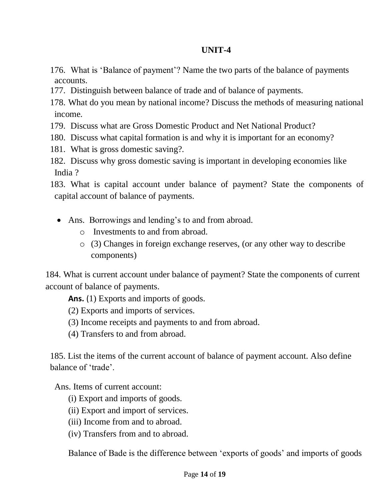- 176. What is "Balance of payment"? Name the two parts of the balance of payments accounts.
- 177. Distinguish between balance of trade and of balance of payments.
- 178. What do you mean by national income? Discuss the methods of measuring national income.
- 179. Discuss what are Gross Domestic Product and Net National Product?
- 180. Discuss what capital formation is and why it is important for an economy?
- 181. What is gross domestic saving?.
- 182. Discuss why gross domestic saving is important in developing economies like India ?

183. What is capital account under balance of payment? State the components of capital account of balance of payments.

- Ans. Borrowings and lending's to and from abroad.
	- o Investments to and from abroad.
	- o (3) Changes in foreign exchange reserves, (or any other way to describe components)

184. What is current account under balance of payment? State the components of current account of balance of payments.

**Ans.** (1) Exports and imports of goods.

(2) Exports and imports of services.

- (3) Income receipts and payments to and from abroad.
- (4) Transfers to and from abroad.

185. List the items of the current account of balance of payment account. Also define balance of "trade".

Ans. Items of current account:

- (i) Export and imports of goods.
- (ii) Export and import of services.
- (iii) Income from and to abroad.
- (iv) Transfers from and to abroad.

Balance of Bade is the difference between 'exports of goods' and imports of goods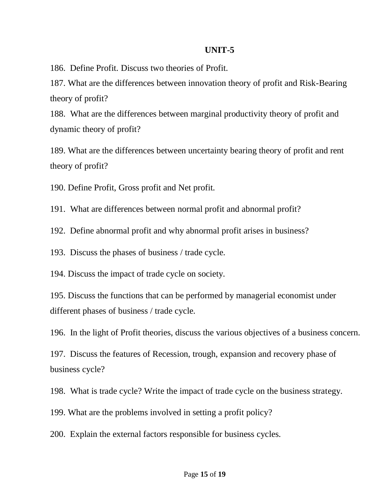186. Define Profit. Discuss two theories of Profit.

187. What are the differences between innovation theory of profit and Risk-Bearing theory of profit?

188. What are the differences between marginal productivity theory of profit and dynamic theory of profit?

189. What are the differences between uncertainty bearing theory of profit and rent theory of profit?

190. Define Profit, Gross profit and Net profit.

191. What are differences between normal profit and abnormal profit?

192. Define abnormal profit and why abnormal profit arises in business?

193. Discuss the phases of business / trade cycle.

194. Discuss the impact of trade cycle on society.

195. Discuss the functions that can be performed by managerial economist under different phases of business / trade cycle.

196. In the light of Profit theories, discuss the various objectives of a business concern.

197. Discuss the features of Recession, trough, expansion and recovery phase of business cycle?

198. What is trade cycle? Write the impact of trade cycle on the business strategy.

199. What are the problems involved in setting a profit policy?

200. Explain the external factors responsible for business cycles.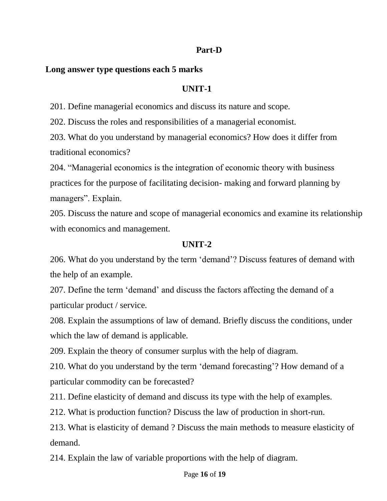#### **Part-D**

#### **Long answer type questions each 5 marks**

#### **UNIT-1**

201. Define managerial economics and discuss its nature and scope.

202. Discuss the roles and responsibilities of a managerial economist.

203. What do you understand by managerial economics? How does it differ from traditional economics?

204. "Managerial economics is the integration of economic theory with business practices for the purpose of facilitating decision- making and forward planning by managers". Explain.

205. Discuss the nature and scope of managerial economics and examine its relationship with economics and management.

#### **UNIT-2**

206. What do you understand by the term "demand"? Discuss features of demand with the help of an example.

207. Define the term "demand" and discuss the factors affecting the demand of a particular product / service.

208. Explain the assumptions of law of demand. Briefly discuss the conditions, under which the law of demand is applicable.

209. Explain the theory of consumer surplus with the help of diagram.

210. What do you understand by the term "demand forecasting"? How demand of a particular commodity can be forecasted?

211. Define elasticity of demand and discuss its type with the help of examples.

212. What is production function? Discuss the law of production in short-run.

213. What is elasticity of demand ? Discuss the main methods to measure elasticity of demand.

214. Explain the law of variable proportions with the help of diagram.

#### Page **16** of **19**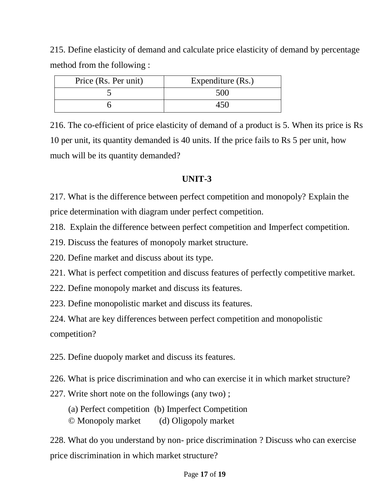215. Define elasticity of demand and calculate price elasticity of demand by percentage method from the following :

| Price (Rs. Per unit) | Expenditure (Rs.) |
|----------------------|-------------------|
|                      | 500               |
|                      | 450               |

216. The co-efficient of price elasticity of demand of a product is 5. When its price is Rs 10 per unit, its quantity demanded is 40 units. If the price fails to Rs 5 per unit, how much will be its quantity demanded?

## **UNIT-3**

217. What is the difference between perfect competition and monopoly? Explain the price determination with diagram under perfect competition.

218. Explain the difference between perfect competition and Imperfect competition.

219. Discuss the features of monopoly market structure.

220. Define market and discuss about its type.

221. What is perfect competition and discuss features of perfectly competitive market.

222. Define monopoly market and discuss its features.

223. Define monopolistic market and discuss its features.

224. What are key differences between perfect competition and monopolistic competition?

225. Define duopoly market and discuss its features.

226. What is price discrimination and who can exercise it in which market structure?

227. Write short note on the followings (any two) ;

(a) Perfect competition (b) Imperfect Competition

© Monopoly market (d) Oligopoly market

228. What do you understand by non- price discrimination ? Discuss who can exercise price discrimination in which market structure?

#### Page **17** of **19**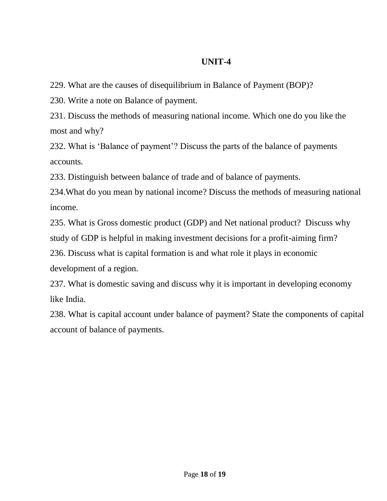229. What are the causes of disequilibrium in Balance of Payment (BOP)?

230. Write a note on Balance of payment.

231. Discuss the methods of measuring national income. Which one do you like the most and why?

232. What is "Balance of payment"? Discuss the parts of the balance of payments accounts.

233. Distinguish between balance of trade and of balance of payments.

234.What do you mean by national income? Discuss the methods of measuring national income.

235. What is Gross domestic product (GDP) and Net national product? Discuss why

study of GDP is helpful in making investment decisions for a profit-aiming firm?

236. Discuss what is capital formation is and what role it plays in economic

development of a region.

237. What is domestic saving and discuss why it is important in developing economy like India.

238. What is capital account under balance of payment? State the components of capital account of balance of payments.